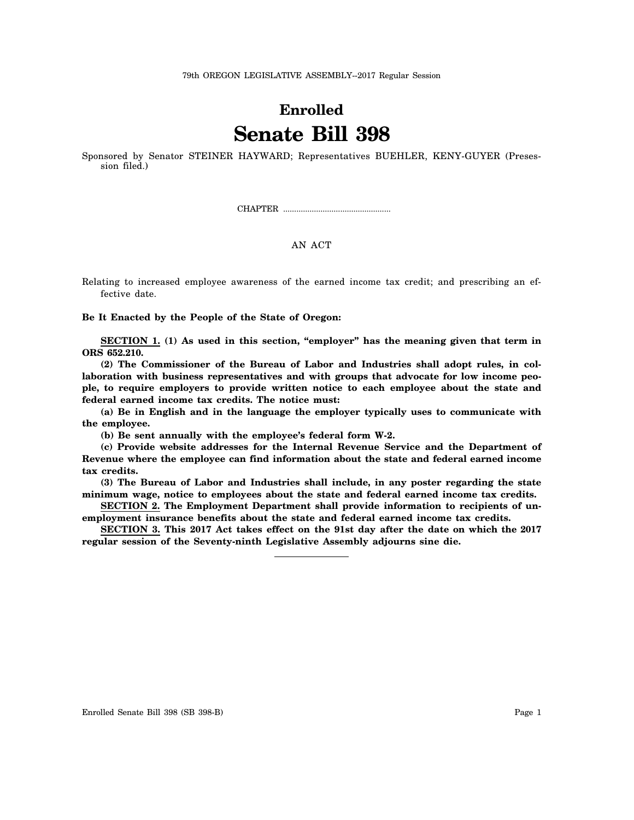## **Enrolled Senate Bill 398**

Sponsored by Senator STEINER HAYWARD; Representatives BUEHLER, KENY-GUYER (Presession filed.)

CHAPTER .................................................

## AN ACT

Relating to increased employee awareness of the earned income tax credit; and prescribing an effective date.

**Be It Enacted by the People of the State of Oregon:**

**SECTION 1. (1) As used in this section, "employer" has the meaning given that term in ORS 652.210.**

**(2) The Commissioner of the Bureau of Labor and Industries shall adopt rules, in collaboration with business representatives and with groups that advocate for low income people, to require employers to provide written notice to each employee about the state and federal earned income tax credits. The notice must:**

**(a) Be in English and in the language the employer typically uses to communicate with the employee.**

**(b) Be sent annually with the employee's federal form W-2.**

**(c) Provide website addresses for the Internal Revenue Service and the Department of Revenue where the employee can find information about the state and federal earned income tax credits.**

**(3) The Bureau of Labor and Industries shall include, in any poster regarding the state minimum wage, notice to employees about the state and federal earned income tax credits.**

**SECTION 2. The Employment Department shall provide information to recipients of unemployment insurance benefits about the state and federal earned income tax credits.**

**SECTION 3. This 2017 Act takes effect on the 91st day after the date on which the 2017 regular session of the Seventy-ninth Legislative Assembly adjourns sine die.**